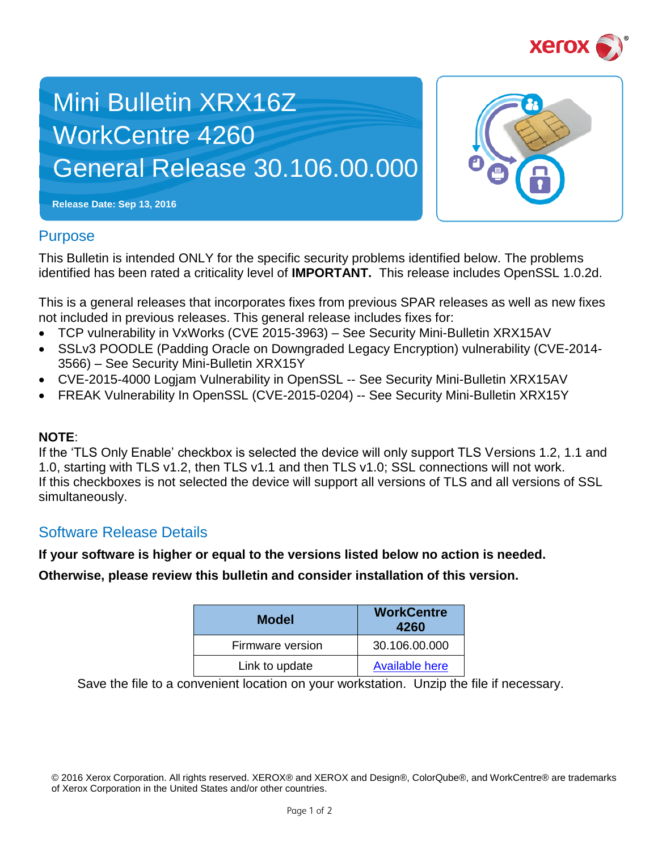

# Mini Bulletin XRX16Z WorkCentre 4260 General Release 30.106.00.000



**Release Date: Sep 13, 2016**

## **Purpose**

This Bulletin is intended ONLY for the specific security problems identified below. The problems identified has been rated a criticality level of **IMPORTANT.** This release includes OpenSSL 1.0.2d.

This is a general releases that incorporates fixes from previous SPAR releases as well as new fixes not included in previous releases. This general release includes fixes for:

- TCP vulnerability in VxWorks (CVE 2015-3963) See Security Mini-Bulletin XRX15AV
- SSLv3 POODLE (Padding Oracle on Downgraded Legacy Encryption) vulnerability (CVE-2014-3566) – See Security Mini-Bulletin XRX15Y
- CVE-2015-4000 Logjam Vulnerability in OpenSSL -- See Security Mini-Bulletin XRX15AV
- FREAK Vulnerability In OpenSSL (CVE-2015-0204) -- See Security Mini-Bulletin XRX15Y

## **NOTE**:

If the 'TLS Only Enable' checkbox is selected the device will only support TLS Versions 1.2, 1.1 and 1.0, starting with TLS v1.2, then TLS v1.1 and then TLS v1.0; SSL connections will not work. If this checkboxes is not selected the device will support all versions of TLS and all versions of SSL simultaneously.

# Software Release Details

#### **If your software is higher or equal to the versions listed below no action is needed.**

**Otherwise, please review this bulletin and consider installation of this version.** 

| <b>Model</b>     | <b>WorkCentre</b><br>4260 |
|------------------|---------------------------|
| Firmware version | 30.106.00.000             |
| Link to update   | <b>Available here</b>     |

Save the file to a convenient location on your workstation. Unzip the file if necessary.

<sup>© 2016</sup> Xerox Corporation. All rights reserved. XEROX® and XEROX and Design®, ColorQube®, and WorkCentre® are trademarks of Xerox Corporation in the United States and/or other countries.